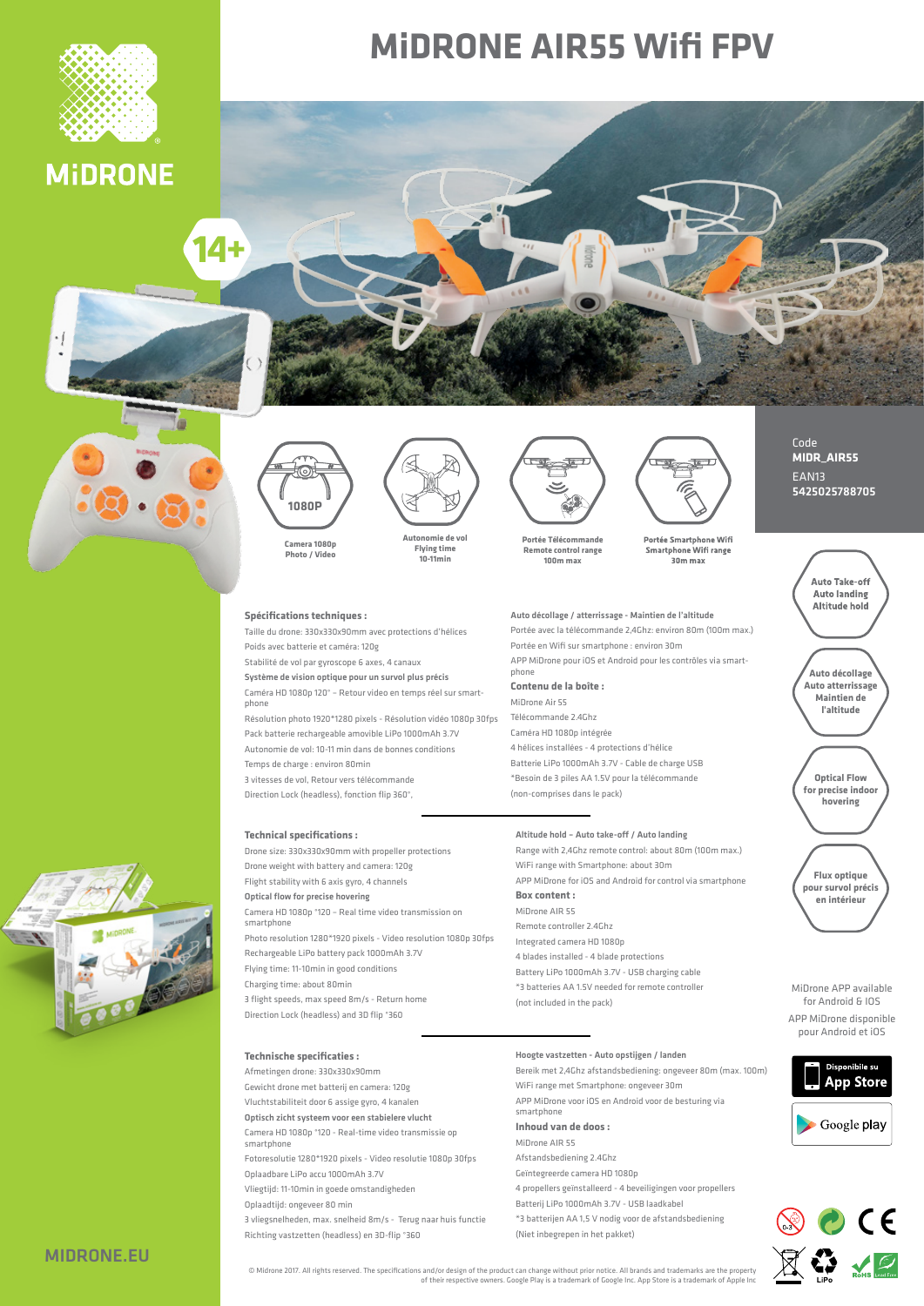

# **MIDRONE AIR55 WIfi FPV**





**p1080 Camera** Photo / Video

### **Spécifications techniques :**

Taille du drone: 330x330x90mm avec protections d'hélices Poids avec batterie et caméra: 120g

**vol de Autonomie Flying** time **min10-11**

Stabilité de vol par gyroscope 6 axes, 4 canaux

Système de vision optique pour un survol plus précis Caméra HD 1080p 120° – Retour video en temps réel sur smart-<br>phone

Résolution photo 1920\*1280 pixels - Résolution vidéo 1080p 30fps Pack batterie rechargeable amovible LiPo 1000mAh 3.7V Autonomie de vol: 10-11 min dans de bonnes conditions Temps de charge : environ 80 min

3 vitesses de vol, Retour vers télécommande Direction Lock (headless) fonction flin 360°

**Technical specifications :** 

Drone size: 330x330x90mm with propeller protections Drone weight with battery and camera: 120g Flight stability with 6 axis gyro, 4 channels

Optical flow for precise hovering Camera HD 1080n °120 – Real time video transmission on

 smartphone Photo resolution 1280\*1920 pixels - Video resolution 1080p 30fps

Rechargeable LiPo battery pack 1000mAh 3.7V Flying time: 11-10 min in good conditions Charging time: about 80 min 3 flight speeds may speed 8m/s - Return home

Direction Lock (headless) and 3D flip °360

### **Technische specificaties :**

Afmetingen drone: 330x330x90mm

Gewicht drone met batterij en camera: 120g

Vluchtstabiliteit door 6 assige gyro, 4 kanalen

Optisch zicht systeem voor een stabielere vlucht Camera HD 1080p °120 - Real-time video transmissie op

smartphone Fotoresolutie 1280\*1920 pixels - Video resolutie 1080p 30fps

Oplaadbare LiPo accu 1000mAh 3.7V

Vliegtijd: 11-10 min in goede omstandigheden

Oplaadtijd: ongeveer 80 min

3 vliegsnelheden, max. snelheid 8m/s - Terug naar huis functie Richting vastzetten (headless) en 3D-flip °360



Portée Smartphone Wifi<br>Smartphone Wifi range 30m max

## Auto décollage / atterrissage - Maintien de l'altitude

Portée avec la télécommande 2,4Ghz: environ 80m (100m max.) Portée en Wifi sur smartphone : environ 30m

APP MiDrone pour iOS et Android pour les contrôles via smart-<br>phone Contenu de la hoîte **·** 

MiDrone Air 55

Télécommande 2.4 Ghz Caméra HD 1080n intégrée 4 hélices installées - 4 protections d'hélice Batterie LiPo 1000 mAh 3.7V - Cable de charge USB \*Besoin de 3 piles AA 1.5V pour la télécommande (non-comprises dans le pack)

### Altitude hold - Auto take-off / Auto landing

Range with 2,4Ghz remote control: about 80m (100m max.) WiFi range with Smartphone: about 30m APP MiDrone for iOS and Android for control via smartphone **Box** content : MiDrone AIR 55 Battery LiPo 1000 mAh 3.7V - USB charging cable \*3 batteries AA 1.5V needed for remote controller (not included in the pack)

#### Hoogte vastzetten - Auto opstijgen / landen

Bereik met 2,4Ghz afstandsbediening: ongeveer 80m (max. 100m) WiFi range met Smartphone: ongeveer 30m

APP MiDrone voor iOS en Android voor de besturing via smartphone

# **Inhoud** van de doos :

MiDrone AIR 55 Afstandsbediening 2.4 Ghz Geïntegreerde camera HD 1080n 4 propellers geïnstalleerd - 4 beveiligingen voor propellers Batterij LiPo 1000mAh 3.7V - LISB laadkabel

<sup>\*</sup>3 batterijen AA 1,5 V nodig voor de afstandsbediening (Niet inbegrepen in het pakket)

# Code **MIDR\_AIR55** EAN<sub>13</sub> 5425025788705



MiDrone APP available for Android & IOS APP MiDrone disponible pour Android et iOS





Midrone 2017. All rights reserved. The specifications and/or design of the product can change without prior notice. All brands and trademarks are the property of their respective owners. Google Play is a trademark of Googl

- Remote controller 2 4 Ghz Integrated camera HD 1080p 4 blades installed - 4 blade protections
- 
-